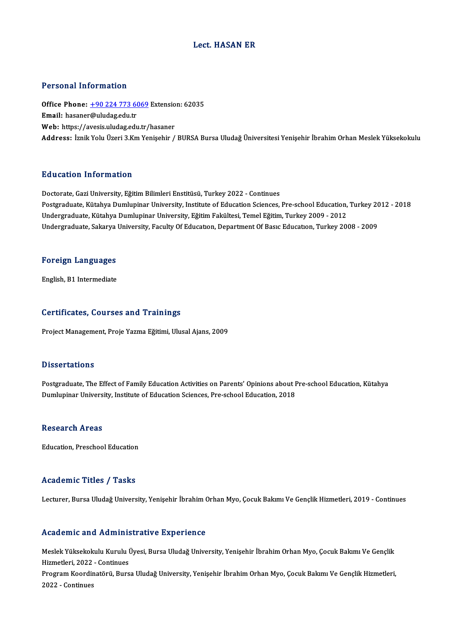### Lect. HASAN ER

### Personal Information

Personal Information<br>Office Phone: <u>+90 224 773 6069</u> Extension: 62035<br>Email: basanor@uludas.edu.tr Procedulation<br>Office Phone: <u>+90 224 773 60</u><br>Email: hasaner[@uludag.edu.tr](tel:+90 224 773 6069) Office Phone: <u>+90 224 773 6069</u> Extensio<br>Email: hasaner@uludag.edu.tr<br>Web: https://avesis.uludag.edu.tr/hasaner<br>Address. Imil: Volu Üreri <sup>2</sup> Km Venisebir / <mark>Email:</mark> hasaner@uludag.edu.tr<br>Web: https://avesis.uludag.edu.tr/hasaner<br>Address: İznik Yolu Üzeri 3.Km Yenisehir / BURSA Bursa Uludağ Üniversitesi Yenisehir İbrahim Orhan Meslek Yüksekokulu

### Education Information

Doctorate, Gazi University, Eğitim Bilimleri Enstitüsü, Turkey 2022 - Continues Pu u cucron Timot Inucron<br>Doctorate, Gazi University, Eğitim Bilimleri Enstitüsü, Turkey 2022 - Continues<br>Postgraduate, Kütahya Dumlupinar University, Institute of Education Sciences, Pre-school Education, Turkey 2012 - 20 Doctorate, Gazi University, Eğitim Bilimleri Enstitüsü, Turkey 2022 - Continues<br>Postgraduate, Kütahya Dumlupinar University, Institute of Education Sciences, Pre-school Education,<br>Undergraduate, Kütahya Dumlupinar Universi Undergraduate, Kütahya Dumlupinar University, Eğitim Fakültesi, Temel Eğitim, Turkey 2009 - 2012<br>Undergraduate, Sakarya University, Faculty Of Educatıon, Department Of Basıc Educatıon, Turkey 2008 - 2009

## <sub>Undergraduate, sakarya<br>Foreign Languages</sub> F<mark>oreign Languages</mark><br>English, B1 Intermediate

# English, B1 Intermediate<br>Certificates, Courses and Trainings

Project Management, Proje Yazma Eğitimi, Ulusal Ajans, 2009

#### **Dissertations**

Dissertations<br>Postgraduate, The Effect of Family Education Activities on Parents' Opinions about Pre-school Education, Kütahya<br>Dumlunings University, Institute of Education Sciences, Pre-school Education, 2018 Dubber tatroms<br>Postgraduate, The Effect of Family Education Activities on Parents' Opinions about F<br>Dumlupinar University, Institute of Education Sciences, Pre-school Education, 2018 Dumlupinar University, Institute of Education Sciences, Pre-school Education, 2018<br>Research Areas

Education, Preschool Education

### Academic Titles / Tasks

Lecturer, Bursa Uludağ University, Yenişehir İbrahim Orhan Myo, Çocuk Bakımı Ve Gençlik Hizmetleri, 2019 - Continues

### Academic and Administrative Experience

Academic and Administrative Experience<br>Meslek Yüksekokulu Kurulu Üyesi, Bursa Uludağ University, Yenişehir İbrahim Orhan Myo, Çocuk Bakımı Ve Gençlik<br>Hirmatlari 2022, Continues Heale Chris and Trammic<br>Meslek Yüksekokulu Kurulu İ<br>Hizmetleri, 2022 - Continues<br>Program Koordinatörü, Buro Meslek Yüksekokulu Kurulu Üyesi, Bursa Uludağ University, Yenişehir İbrahim Orhan Myo, Çocuk Bakımı Ve Gençlik<br>Hizmetleri, 2022 - Continues<br>Program Koordinatörü, Bursa Uludağ University, Yenişehir İbrahim Orhan Myo, Çocuk Hizmetleri, 2022<br>Program Koordir<br>2022 - Continues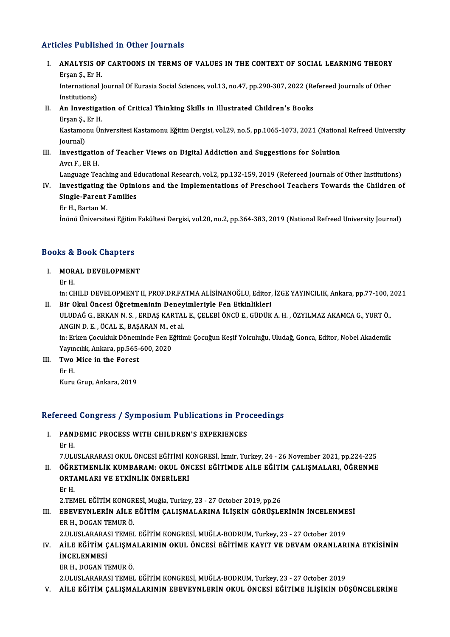### Articles Published in Other Journals

rticles Published in Other Journals<br>I. ANALYSIS OF CARTOONS IN TERMS OF VALUES IN THE CONTEXT OF SOCIAL LEARNING THEORY Erse I denen<br>ANALYSIS OI<br>Erşan Ş., Er H.<br>International I ANALYSIS OF CARTOONS IN TERMS OF VALUES IN THE CONTEXT OF SOCIAL LEARNING THEORY<br>Erşan Ş., Er H.<br>International Journal Of Eurasia Social Sciences, vol.13, no.47, pp.290-307, 2022 (Refereed Journals of Other<br>Institutional

Erşan Ş., Er H<br>International<br>Institutions)<br>An Investig International Journal Of Eurasia Social Sciences, vol.13, no.47, pp.290-307, 2022 (Re<br>Institutions)<br>II. An Investigation of Critical Thinking Skills in Illustrated Children's Books<br>Freen S. Er.H.

Institutions)<br>II. An Investigation of Critical Thinking Skills in Illustrated Children's Books<br>Erşan Ş., Er H.

An Investigation of Critical Thinking Skills in Illustrated Children's Books<br>Erşan Ş., Er H.<br>Kastamonu Üniversitesi Kastamonu Eğitim Dergisi, vol.29, no.5, pp.1065-1073, 2021 (National Refreed University<br>Iournal) Erşan Ş.,<br>Kastamo<br>Journal)<br>Investis Kastamonu Üniversitesi Kastamonu Eğitim Dergisi, vol.29, no.5, pp.1065-1073, 2021 (Nationa<br>Journal)<br>III. Investigation of Teacher Views on Digital Addiction and Suggestions for Solution<br>Ave E EP H

Journal)<br><mark>Investigatio</mark><br>Avcı F., ER H.<br>Languaga Ter

Avcı F., ER H.<br>Language Teaching and Educational Research, vol.2, pp.132-159, 2019 (Refereed Journals of Other Institutions)

### Avcı F., ER H.<br>Language Teaching and Educational Research, vol.2, pp.132-159, 2019 (Refereed Journals of Other Institutions)<br>IV. Investigating the Opinions and the Implementations of Preschool Teachers Towards the Childr Language Teaching and E<br>Investigating the Opini<br>Single-Parent Families<br>Er H. Partan M Investigating t<br>Single-Parent<br>Er H., Bartan M.<br>Inänä Üniversit Single-Parent Families<br>Er H., Bartan M.<br>İnönü Üniversitesi Eğitim Fakültesi Dergisi, vol.20, no.2, pp.364-383, 2019 (National Refreed University Journal)

## monu oniversitesi egium<br>Books & Book Chapters **ooks & Book Chapters<br>I. MORAL DEVELOPMENT**

## I. MORAL DEVELOPMENT<br>Er H.

MORAL DEVELOPMENT<br>Er H.<br>in: CHILD DEVELOPMENT II, PROF.DR.FATMA ALİSİNANOĞLU, Editor, İZGE YAYINCILIK, Ankara, pp.77-100, 2021<br>Bir Olul Önsesi Öğretmeninin Denevimleriyle Een Etkinlikleri

# Er H.<br>in: CHILD DEVELOPMENT II, PROF.DR.FATMA ALİSİNANOĞLU, Editor,<br>II. Bir Okul Öncesi Öğretmeninin Deneyimleriyle Fen Etkinlikleri<br>III. IDAĞ C. ERKAN N.S., ERDAS KARTAL E. CELERİ ÖNCÜ E. CÜDÜV

in: CHILD DEVELOPMENT II, PROF.DR.FATMA ALİSİNANOĞLU, Editor, İZGE YAYINCILIK, Ankara, pp.77-100, 2<br>Bir Okul Öncesi Öğretmeninin Deneyimleriyle Fen Etkinlikleri<br>ULUDAĞ G., ERKAN N. S. , ERDAŞ KARTAL E., ÇELEBİ ÖNCÜ E., GÜD Bir Okul Öncesi Öğretmeninin Deney<br>ULUDAĞ G., ERKAN N. S. , ERDAŞ KARTAI<br>ANGIN D. E. , ÖCAL E., BAŞARAN M., et al.<br>in: Erkan Casukluk Dönaminda Ean Eğitir ULUDAĞ G., ERKAN N. S. , ERDAŞ KARTAL E., ÇELEBİ ÖNCÜ E., GÜDÜK A. H. , ÖZYILMAZ AKAMCA G., YURT Ö.,<br>ANGIN D. E. , ÖCAL E., BAŞARAN M., et al.<br>in: Erken Çocukluk Döneminde Fen Eğitimi: Çocuğun Keşif Yolculuğu, Uludağ, Gonc

in: Erken Çocukluk Döneminde Fen Eğitimi: Çocuğun Keşif Yolculuğu, Uludağ, Gonca, Editor, Nobel Akademik in: Erken Çocukluk Dönem<br>Yayıncılık, Ankara, pp.565-<br>III. Two Mice in the Forest<br>Fr H

Yayın<br>**Two**<br>Er H. Two Mice in the Forest<br>Er H.<br>Kuru Grup, Ankara, 2019

## kuru Grup, Ankara, 2019<br>Refereed Congress / Symposium Publications in Proceedings efereed Congress / Symposium Publications in Pro<br>I. PANDEMIC PROCESS WITH CHILDREN'S EXPERIENCES

I. PANDEMIC PROCESS WITH CHILDREN'S EXPERIENCES<br>Er H.

7.ULUSLARARASIOKULÖNCESİEĞİTİMİKONGRESİ, İzmir,Turkey,24 -26November 2021,pp.224-225

## Er H.<br>7.ULUSLARARASI OKUL ÖNCESİ EĞİTİMİ KONGRESİ, İzmir, Turkey, 24 - 26 November 2021, pp.224-225<br>11. ÖĞRETMENLİK KUMBARAM: OKUL ÖNCESİ EĞİTİMDE AİLE EĞİTİM ÇALIŞMALARI, ÖĞRENME<br>ORTAMLARI VE ETKİNLİK ÖNERLI ERİ 7.ULUSLARARASI OKUL ÖNCESİ EĞİTİMI K<br>ÖĞRETMENLİK KUMBARAM: OKUL ÖN<br>ORTAMLARI VE ETKİNLİK ÖNERİLERİ<br>Er H **ÖĞRI<br>ORTA<br>Er H.<br>2 TEN** ORTAMLARI VE ETKİNLİK ÖNERİLERİ<br>Er H.<br>2.TEMEL EĞİTİM KONGRESİ, Muğla, Turkey, 23 - 27 October 2019, pp.26<br>EREVEYNI ERİN AİLE EĞİTİM CALISMALARINA İLİSKIN GÖRÜSLE

## Er H.<br>2.TEMEL EĞİTİM KONGRESİ, Muğla, Turkey, 23 - 27 October 2019, pp.26<br>III. EBEVEYNLERİN AİLE EĞİTİM ÇALIŞMALARINA İLİŞKİN GÖRÜŞLERİNİN İNCELENMESİ<br>ER H., DOGAN TEMUR Ö. 2.TEMEL EĞİTİM KONGR<br><mark>EBEVEYNLERİN AİLE</mark><br>ER H., DOGAN TEMUR Ö.<br>2 III USLARARASI TEMEL EBEVEYNLERİN AİLE EĞİTİM ÇALIŞMALARINA İLİŞKİN GÖRÜŞLERİNİN İNCELENME<br>ER H., DOGAN TEMUR Ö.<br>2.ULUSLARARASI TEMEL EĞİTİM KONGRESİ, MUĞLA-BODRUM, Turkey, 23 - 27 October 2019<br>AİLE EĞİTİM CALISMALARININ OKUL ÖNCESİ EĞİTİME KA

### ER H., DOGAN TEMUR Ö.<br>2.ULUSLARARASI TEMEL EĞİTİM KONGRESİ, MUĞLA-BODRUM, Turkey, 23 - 27 October 2019<br>IV. — AİLE EĞİTİM ÇALIŞMALARININ OKUL ÖNCESİ EĞİTİME KAYIT VE DEVAM ORANLARINA ETKİSİNİN<br>İNCELENMESİ 2.ULUSLARARAS<br>**AİLE EĞİTİM Ç<br>İNCELENMESİ**<br>EP H. DOCAN T AİLE EĞİTİM ÇALIŞMA<br>İNCELENMESİ<br>ER H., DOGAN TEMUR Ö.<br>2 HLUSLARARASI TEMEL **İNCELENMESİ**<br>ER H., DOGAN TEMUR Ö.<br>2.ULUSLARARASI TEMEL EĞİTİM KONGRESİ, MUĞLA-BODRUM, Turkey, 23 - 27 October 2019

V. AİLE EĞİTİMÇALIŞMALARININ EBEVEYNLERİN OKUL ÖNCESİ EĞİTİME İLİŞİKİN DÜŞÜNCELERİNE